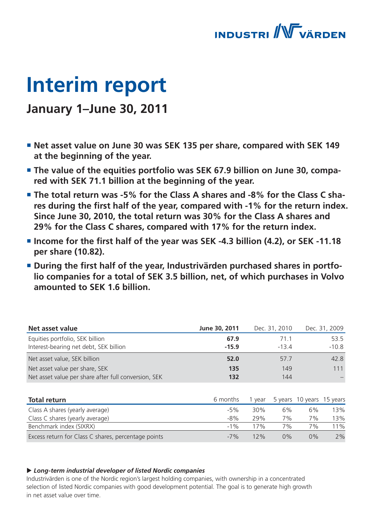

# **Interim report**

# **January 1–June 30, 2011**

- **Net asset value on June 30 was SEK 135 per share, compared with SEK 149 at the beginning of the year.**
- **The value of the equities portfolio was SEK 67.9 billion on June 30, compared with SEK 71.1 billion at the beginning of the year.**
- **The total return was -5% for the Class A shares and -8% for the Class C sha**res during the first half of the year, compared with -1% for the return index. **Since June 30, 2010, the total return was 30% for the Class A shares and 29% for the Class C shares, compared with 17% for the return index.**
- $\blacksquare$  Income for the first half of the year was SEK -4.3 billion (4.2), or SEK -11.18 **per share (10.82).**
- **E** During the first half of the year, Industrivärden purchased shares in portfo**lio companies for a total of SEK 3.5 billion, net, of which purchases in Volvo amounted to SEK 1.6 billion.**

| <b>Net asset value</b>                               | June 30, 2011 |      | Dec. 31, 2010 |                           | Dec. 31, 2009 |
|------------------------------------------------------|---------------|------|---------------|---------------------------|---------------|
| Equities portfolio, SEK billion                      | 67.9          |      | 71.1          |                           | 53.5          |
| Interest-bearing net debt, SEK billion               | $-15.9$       |      | $-13.4$       |                           | $-10.8$       |
| Net asset value, SEK billion                         | 52.0          |      | 57.7          |                           | 42.8          |
| Net asset value per share, SEK                       | 135           |      | 149           |                           | 111           |
| Net asset value per share after full conversion, SEK | 132           |      | 144           |                           |               |
|                                                      |               |      |               |                           |               |
| <b>Total return</b>                                  | 6 months      | year |               | 5 years 10 years 15 years |               |
| Class A shares (yearly average)                      | $-5%$         | 30%  | 6%            | 6%                        | 13%           |
| Class C shares (yearly average)                      | $-8%$         | 29%  | 7%            | 7%                        | 13%           |
| Benchmark index (SIXRX)                              | $-1\%$        | 17%  | 7%            | 7%                        | 11%           |
| Excess return for Class C shares, percentage points  | $-7%$         | 12%  | 0%            | $0\%$                     | 2%            |

#### *Long-term industrial developer of listed Nordic companies*

Industrivärden is one of the Nordic region's largest holding companies, with ownership in a concentrated selection of listed Nordic companies with good development potential. The goal is to generate high growth in net asset value over time.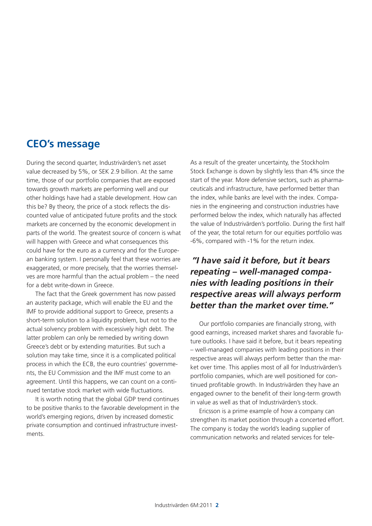### **CEO's message**

During the second quarter, Industrivärden's net asset value decreased by 5%, or SEK 2.9 billion. At the same time, those of our portfolio companies that are exposed towards growth markets are performing well and our other holdings have had a stable development. How can this be? By theory, the price of a stock reflects the discounted value of anticipated future profits and the stock markets are concerned by the economic development in parts of the world. The greatest source of concern is what will happen with Greece and what consequences this could have for the euro as a currency and for the European banking system. I personally feel that these worries are exaggerated, or more precisely, that the worries themselves are more harmful than the actual problem – the need for a debt write-down in Greece.

The fact that the Greek government has now passed an austerity package, which will enable the EU and the IMF to provide additional support to Greece, presents a short-term solution to a liquidity problem, but not to the actual solvency problem with excessively high debt. The latter problem can only be remedied by writing down Greece's debt or by extending maturities. But such a solution may take time, since it is a complicated political process in which the ECB, the euro countries' governments, the EU Commission and the IMF must come to an agreement. Until this happens, we can count on a continued tentative stock market with wide fluctuations.

It is worth noting that the global GDP trend continues to be positive thanks to the favorable development in the world's emerging regions, driven by increased domestic private consumption and continued infrastructure investments.

As a result of the greater uncertainty, the Stockholm Stock Exchange is down by slightly less than 4% since the start of the year. More defensive sectors, such as pharmaceuticals and infrastructure, have performed better than the index, while banks are level with the index. Companies in the engineering and construction industries have performed below the index, which naturally has affected the value of Industrivärden's portfolio. During the first half of the year, the total return for our equities portfolio was -6%, compared with -1% for the return index.

### *"I have said it before, but it bears repeating – well-managed companies with leading positions in their respective areas will always perform better than the market over time."*

Our portfolio companies are financially strong, with good earnings, increased market shares and favorable future outlooks. I have said it before, but it bears repeating – well-managed companies with leading positions in their respective areas will always perform better than the market over time. This applies most of all for Industrivärden's portfolio companies, which are well positioned for continued profitable growth. In Industrivärden they have an engaged owner to the benefit of their long-term growth in value as well as that of Industrivärden's stock.

Ericsson is a prime example of how a company can strengthen its market position through a concerted effort. The company is today the world's leading supplier of communication networks and related services for tele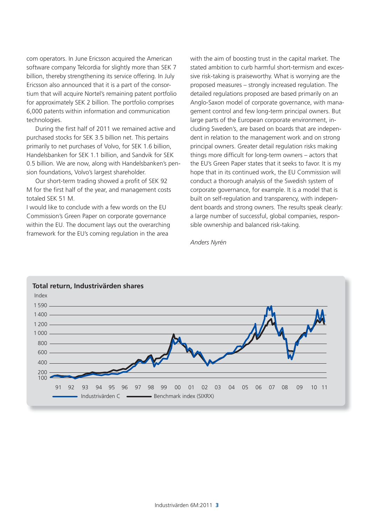com operators. In June Ericsson acquired the American software company Telcordia for slightly more than SEK 7 billion, thereby strengthening its service offering. In July Ericsson also announced that it is a part of the consortium that will acquire Nortel's remaining patent portfolio for approximately SEK 2 billion. The portfolio comprises 6,000 patents within information and communication technologies.

During the first half of 2011 we remained active and purchased stocks for SEK 3.5 billion net. This pertains primarily to net purchases of Volvo, for SEK 1.6 billion, Handelsbanken for SEK 1.1 billion, and Sandvik for SEK 0.5 billion. We are now, along with Handelsbanken's pension foundations, Volvo's largest shareholder.

Our short-term trading showed a profit of SEK 92 M for the first half of the year, and management costs totaled SEK 51 M.

I would like to conclude with a few words on the EU Commission's Green Paper on corporate governance within the EU. The document lays out the overarching framework for the EU's coming regulation in the area

with the aim of boosting trust in the capital market. The stated ambition to curb harmful short-termism and excessive risk-taking is praiseworthy. What is worrying are the proposed measures – strongly increased regulation. The detailed regulations proposed are based primarily on an Anglo-Saxon model of corporate governance, with management control and few long-term principal owners. But large parts of the European corporate environment, including Sweden's, are based on boards that are independent in relation to the management work and on strong principal owners. Greater detail regulation risks making things more difficult for long-term owners  $-$  actors that the EU's Green Paper states that it seeks to favor. It is my hope that in its continued work, the EU Commission will conduct a thorough analysis of the Swedish system of corporate governance, for example. It is a model that is built on self-regulation and transparency, with independent boards and strong owners. The results speak clearly: a large number of successful, global companies, responsible ownership and balanced risk-taking.

*Anders Nyrén*

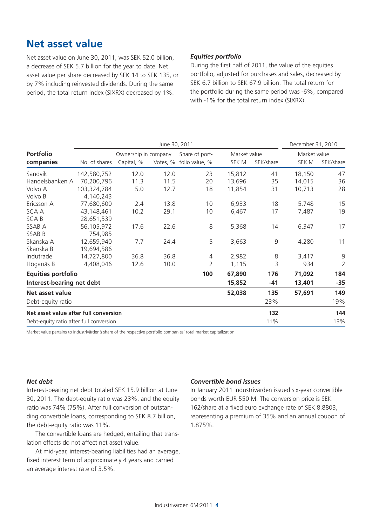### **Net asset value**

Net asset value on June 30, 2011, was SEK 52.0 billion, a decrease of SEK 5.7 billion for the year to date. Net asset value per share decreased by SEK 14 to SEK 135, or by 7% including reinvested dividends. During the same period, the total return index (SIXRX) decreased by 1%.

#### *Equities portfolio*

During the first half of 2011, the value of the equities portfolio, adjusted for purchases and sales, decreased by SEK 6.7 billion to SEK 67.9 billion. The total return for the portfolio during the same period was -6%, compared with -1% for the total return index (SIXRX).

|                                         |               | June 30, 2011        |          |                |              | December 31, 2010 |              |                |
|-----------------------------------------|---------------|----------------------|----------|----------------|--------------|-------------------|--------------|----------------|
| <b>Portfolio</b>                        |               | Ownership in company |          | Share of port- | Market value |                   | Market value |                |
| companies                               | No. of shares | Capital, %           | Votes, % | folio value, % | SEK M        | SEK/share         | SEK M        | SEK/share      |
| Sandvik                                 | 142,580,752   | 12.0                 | 12.0     | 23             | 15,812       | 41                | 18,150       | 47             |
| Handelsbanken A                         | 70,200,796    | 11.3                 | 11.5     | 20             | 13,696       | 35                | 14,015       | 36             |
| Volvo A                                 | 103,324,784   | 5.0                  | 12.7     | 18             | 11,854       | 31                | 10,713       | 28             |
| Volvo B                                 | 4,140,243     |                      |          |                |              |                   |              |                |
| Ericsson A                              | 77,680,600    | 2.4                  | 13.8     | 10             | 6,933        | 18                | 5,748        | 15             |
| SCA A                                   | 43,148,461    | 10.2                 | 29.1     | 10             | 6,467        | 17                | 7,487        | 19             |
| <b>SCAB</b>                             | 28,651,539    |                      |          |                |              |                   |              |                |
| SSAB A                                  | 56,105,972    | 17.6                 | 22.6     | 8              | 5,368        | 14                | 6,347        | 17             |
| SSAB B                                  | 754,985       |                      |          |                |              |                   |              |                |
| Skanska A                               | 12,659,940    | 7.7                  | 24.4     | 5              | 3,663        | 9                 | 4,280        | 11             |
| Skanska B                               | 19,694,586    |                      |          |                |              |                   |              |                |
| Indutrade                               | 14,727,800    | 36.8                 | 36.8     | $\overline{4}$ | 2,982        | 8                 | 3,417        | 9              |
| Höganäs B                               | 4,408,046     | 12.6                 | 10.0     | 2              | 1,115        | 3                 | 934          | $\overline{2}$ |
| <b>Equities portfolio</b>               |               |                      |          | 100            | 67,890       | 176               | 71,092       | 184            |
| Interest-bearing net debt               |               |                      |          |                | 15,852       | $-41$             | 13,401       | $-35$          |
| Net asset value                         |               |                      |          |                | 52,038       | 135               | 57,691       | 149            |
| Debt-equity ratio                       |               |                      |          |                |              | 23%               |              | 19%            |
| Net asset value after full conversion   |               |                      |          |                |              | 132               |              | 144            |
| Debt-equity ratio after full conversion |               |                      |          |                |              | 11%               |              | 13%            |

Market value pertains to Industrivärden's share of the respective portfolio companies' total market capitalization.

#### *Net debt*

Interest-bearing net debt totaled SEK 15.9 billion at June 30, 2011. The debt-equity ratio was 23%, and the equity ratio was 74% (75%). After full conversion of outstanding convertible loans, corresponding to SEK 8.7 billion, the debt-equity ratio was 11%.

The convertible loans are hedged, entailing that translation effects do not affect net asset value.

At mid-year, interest-bearing liabilities had an average, fixed interest term of approximately 4 years and carried an average interest rate of 3.5%.

#### *Convertible bond issues*

In January 2011 Industrivärden issued six-year convertible bonds worth EUR 550 M. The conversion price is SEK 162/share at a fixed euro exchange rate of SEK 8.8803, representing a premium of 35% and an annual coupon of 1.875%.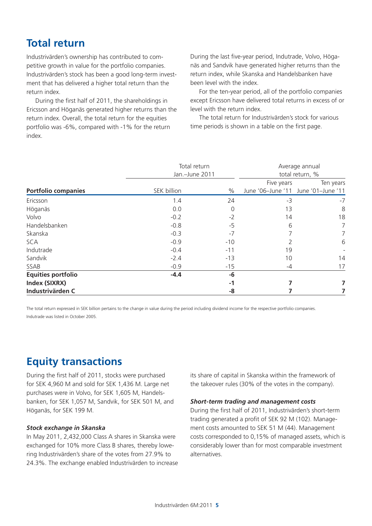# **Total return**

Industrivärden's ownership has contributed to competitive growth in value for the portfolio companies. Industrivärden's stock has been a good long-term investment that has delivered a higher total return than the return index.

During the first half of 2011, the shareholdings in Ericsson and Höganäs generated higher returns than the return index. Overall, the total return for the equities portfolio was -6%, compared with -1% for the return index.

During the last five-year period, Indutrade, Volvo, Höganäs and Sandvik have generated higher returns than the return index, while Skanska and Handelsbanken have been level with the index.

For the ten-year period, all of the portfolio companies except Ericsson have delivered total returns in excess of or level with the return index.

The total return for Industrivärden's stock for various time periods is shown in a table on the first page.

|                            | Total return<br>Jan.-June 2011 |       | Average annual<br>total return, % |                                     |
|----------------------------|--------------------------------|-------|-----------------------------------|-------------------------------------|
|                            |                                |       | Five years                        | Ten years                           |
| <b>Portfolio companies</b> | SEK billion                    | $\%$  |                                   | June '06-June '11 June '01-June '11 |
| Ericsson                   | 1.4                            | 24    | $-3$                              | $-7$                                |
| Höganäs                    | 0.0                            | 0     | 13                                | 8                                   |
| Volvo                      | $-0.2$                         | $-2$  | 14                                | 18                                  |
| Handelsbanken              | $-0.8$                         | -5    | 6                                 | 7                                   |
| Skanska                    | $-0.3$                         | $-7$  |                                   | 7                                   |
| <b>SCA</b>                 | $-0.9$                         | $-10$ |                                   | 6                                   |
| Indutrade                  | $-0.4$                         | $-11$ | 19                                |                                     |
| Sandvik                    | $-2.4$                         | $-13$ | 10                                | 14                                  |
| SSAB                       | $-0.9$                         | $-15$ | -4                                | 17                                  |
| <b>Equities portfolio</b>  | $-4.4$                         | -6    |                                   |                                     |
| Index (SIXRX)              |                                | -1    |                                   |                                     |
| Industrivärden C           |                                | -8    |                                   |                                     |

The total return expressed in SEK billion pertains to the change in value during the period including dividend income for the respective portfolio companies. Indutrade was listed in October 2005.

# **Equity transactions**

During the first half of 2011, stocks were purchased for SEK 4,960 M and sold for SEK 1,436 M. Large net purchases were in Volvo, for SEK 1,605 M, Handelsbanken, for SEK 1,057 M, Sandvik, for SEK 501 M, and Höganäs, for SEK 199 M.

#### *Stock exchange in Skanska*

In May 2011, 2,432,000 Class A shares in Skanska were exchanged for 10% more Class B shares, thereby lowering Industrivärden's share of the votes from 27.9% to 24.3%. The exchange enabled Industrivärden to increase its share of capital in Skanska within the framework of the takeover rules (30% of the votes in the company).

#### *Short-term trading and management costs*

During the first half of 2011, Industrivärden's short-term trading generated a profit of SEK 92 M (102). Management costs amounted to SEK 51 M (44). Management costs corresponded to 0,15% of managed assets, which is considerably lower than for most comparable investment alternatives.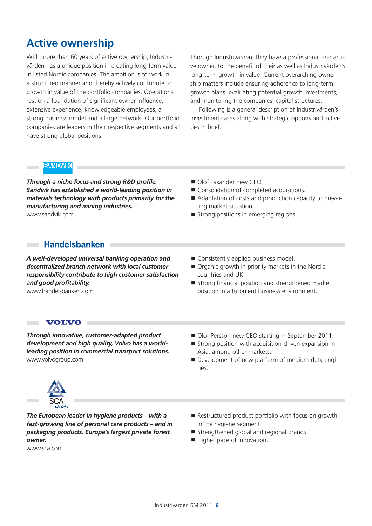# **Active ownership**

With more than 60 years of active ownership, Industrivärden has a unique position in creating long-term value in listed Nordic companies. The ambition is to work in a structured manner and thereby actively contribute to growth in value of the portfolio companies. Operations rest on a foundation of significant owner influence, extensive experience, knowledgeable employees, a strong business model and a large network. Our portfolio companies are leaders in their respective segments and all have strong global positions.

Through Industrivärden, they have a professional and active owner, to the benefit of their as well as Industrivärden's long-term growth in value. Current overarching ownership matters include ensuring adherence to long-term growth plans, evaluating potential growth investments, and monitoring the companies' capital structures.

Following is a general description of Industrivärden's investment cases along with strategic options and activities in brief.

#### **SANDVIK**

 $\sim$ m.

**Through a niche focus and strong R&D profile,** *Sandvik has established a world-leading position in materials technology with products primarily for the manufacturing and mining industries.* www.sandvik.com

- Olof Faxander new CEO.
- Consolidation of completed acquisitions.
- Adaptation of costs and production capacity to prevailing market situation.
- Strong positions in emerging regions.

#### **Handelsbanken**

*A well-developed universal banking operation and decentralized branch network with local customer responsibility contribute to high customer satisfaction and good profi tability.* www.handelsbanken.com

- Consistently applied business model.
- Organic growth in priority markets in the Nordic countries and UK.
- $\blacksquare$  Strong financial position and strengthened market position in a turbulent business environment.

#### **VOLVO**

*Through innovative, customer-adapted product development and high quality, Volvo has a worldleading position in commercial transport solutions.*  www.volvogroup.com

- Olof Persson new CEO starting in September 2011.
- $\blacksquare$  Strong position with acquisition-driven expansion in Asia, among other markets.
- Development of new platform of medium-duty engines.



*The European leader in hygiene products – with a fast-growing line of personal care products – and in packaging products. Europe's largest private forest owner.*

www.sca.com

- Restructured product portfolio with focus on growth in the hygiene segment.
- Strengthened global and regional brands.
- Higher pace of innovation.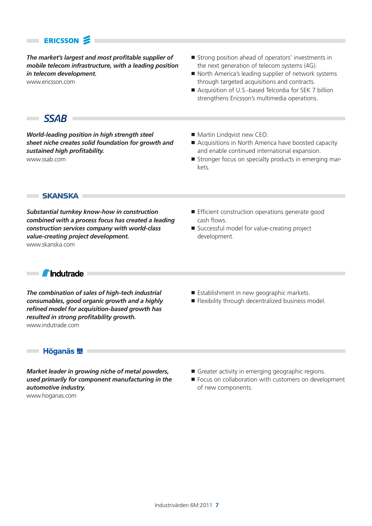### **ERICSSON**

*The market's largest and most profi table supplier of mobile telecom infrastructure, with a leading position in telecom development.* 

www.ericsson.com

- Strong position ahead of operators' investments in the next generation of telecom systems (4G).
- North America's leading supplier of network systems through targeted acquisitions and contracts.
- Acquisition of U.S.-based Telcordia for SEK 7 billion strengthens Ericsson's multimedia operations.

### $SSAB$

×

*World-leading position in high strength steel sheet niche creates solid foundation for growth and sustained high profi tability.* www.ssab.com

- Martin Lindqvist new CEO.
- Acquisitions in North America have boosted capacity and enable continued international expansion.
- Stronger focus on specialty products in emerging markets.

**SKANSKA F** 

*Substantial turnkey know-how in construction combined with a process focus has created a leading construction services company with world-class value-creating project development.* www.skanska.com

- $\blacksquare$  Efficient construction operations generate good cash flows.
- Successful model for value-creating project development.

×

**III III** Indutrade I

*The combination of sales of high-tech industrial consumables, good organic growth and a highly refi ned model for acquisition-based growth has resulted in strong profi tability growth.* www.indutrade.com

- Establishment in new geographic markets.
- Flexibility through decentralized business model.

#### 

*Market leader in growing niche of metal powders, used primarily for component manufacturing in the automotive industry.*

www.hoganas.com

- Greater activity in emerging geographic regions.
- Focus on collaboration with customers on development of new components.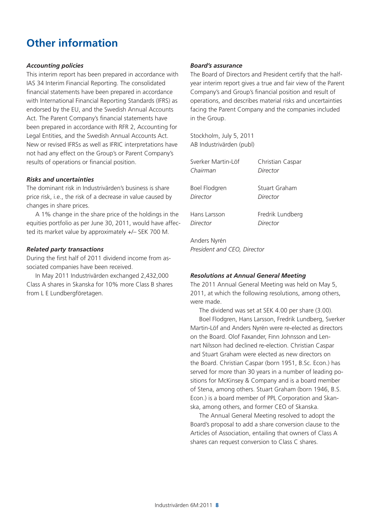# **Other information**

#### *Accounting policies*

This interim report has been prepared in accordance with IAS 34 Interim Financial Reporting. The consolidated financial statements have been prepared in accordance with International Financial Reporting Standards (IFRS) as endorsed by the EU, and the Swedish Annual Accounts Act. The Parent Company's financial statements have been prepared in accordance with RFR 2, Accounting for Legal Entities, and the Swedish Annual Accounts Act. New or revised IFRSs as well as IFRIC interpretations have not had any effect on the Group's or Parent Company's results of operations or financial position.

#### *Risks and uncertainties*

The dominant risk in Industrivärden's business is share price risk, i.e., the risk of a decrease in value caused by changes in share prices.

A 1% change in the share price of the holdings in the equities portfolio as per June 30, 2011, would have affected its market value by approximately +/– SEK 700 M.

#### *Related party transactions*

During the first half of 2011 dividend income from associated companies have been received.

In May 2011 Industrivärden exchanged 2,432,000 Class A shares in Skanska for 10% more Class B shares from L E Lundbergföretagen.

#### *Board's assurance*

The Board of Directors and President certify that the halfyear interim report gives a true and fair view of the Parent Company's and Group's financial position and result of operations, and describes material risks and uncertainties facing the Parent Company and the companies included in the Group.

Stockholm, July 5, 2011 AB Industrivärden (publ)

| Sverker Martin-Löf | Christian Caspar     |
|--------------------|----------------------|
| Chairman           | Director             |
| Boel Flodgren      | <b>Stuart Graham</b> |
| Director           | Director             |
| Hans Larsson       | Fredrik Lundberg     |
| Director           | Director             |

Anders Nyrén *President and CEO, Director*

#### *Resolutions at Annual General Meeting*

The 2011 Annual General Meeting was held on May 5, 2011, at which the following resolutions, among others, were made.

The dividend was set at SEK 4.00 per share (3.00). Boel Flodgren, Hans Larsson, Fredrik Lundberg, Sverker Martin-Löf and Anders Nyrén were re-elected as directors on the Board. Olof Faxander, Finn Johnsson and Lennart Nilsson had declined re-election. Christian Caspar and Stuart Graham were elected as new directors on the Board. Christian Caspar (born 1951, B.Sc. Econ.) has served for more than 30 years in a number of leading positions for McKinsey & Company and is a board member of Stena, among others. Stuart Graham (born 1946, B.S. Econ.) is a board member of PPL Corporation and Skanska, among others, and former CEO of Skanska.

The Annual General Meeting resolved to adopt the Board's proposal to add a share conversion clause to the Articles of Association, entailing that owners of Class A shares can request conversion to Class C shares.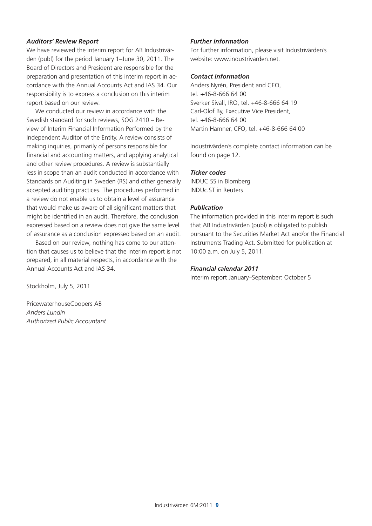#### *Auditors' Review Report*

We have reviewed the interim report for AB Industrivärden (publ) for the period January 1–June 30, 2011. The Board of Directors and President are responsible for the preparation and presentation of this interim report in accordance with the Annual Accounts Act and IAS 34. Our responsibility is to express a conclusion on this interim report based on our review.

We conducted our review in accordance with the Swedish standard for such reviews, SÖG 2410 – Review of Interim Financial Information Performed by the Independent Auditor of the Entity. A review consists of making inquiries, primarily of persons responsible for financial and accounting matters, and applying analytical and other review procedures. A review is substantially less in scope than an audit conducted in accordance with Standards on Auditing in Sweden (RS) and other generally accepted auditing practices. The procedures performed in a review do not enable us to obtain a level of assurance that would make us aware of all significant matters that might be identified in an audit. Therefore, the conclusion expressed based on a review does not give the same level of assurance as a conclusion expressed based on an audit.

Based on our review, nothing has come to our attention that causes us to believe that the interim report is not prepared, in all material respects, in accordance with the Annual Accounts Act and IAS 34.

Stockholm, July 5, 2011

PricewaterhouseCoopers AB *Anders Lundin Authorized Public Accountant*

#### *Further information*

For further information, please visit Industrivärden's website: www.industrivarden.net.

#### *Contact information*

Anders Nyrén, President and CEO, tel. +46-8-666 64 00 Sverker Sivall, IRO, tel. +46-8-666 64 19 Carl-Olof By, Executive Vice President, tel. +46-8-666 64 00 Martin Hamner, CFO, tel. +46-8-666 64 00

Industrivärden's complete contact information can be found on page 12.

#### *Ticker codes*

INDUC SS in Blomberg INDUc.ST in Reuters

#### *Publication*

The information provided in this interim report is such that AB Industrivärden (publ) is obligated to publish pursuant to the Securities Market Act and/or the Financial Instruments Trading Act. Submitted for publication at 10:00 a.m. on July 5, 2011.

#### *Financial calendar 2011*

Interim report January–September: October 5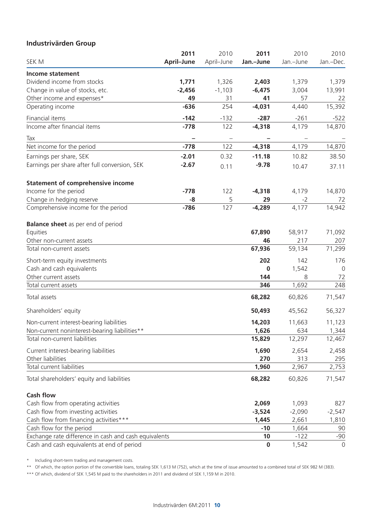### **Industrivärden Group**

|                                                       | 2011       | 2010       | 2011      | 2010      | 2010             |
|-------------------------------------------------------|------------|------------|-----------|-----------|------------------|
| SEK M                                                 | April-June | April-June | Jan.-June | Jan.-June | Jan.-Dec.        |
| <b>Income statement</b>                               |            |            |           |           |                  |
| Dividend income from stocks                           | 1,771      | 1,326      | 2,403     | 1,379     | 1,379            |
| Change in value of stocks, etc.                       | $-2,456$   | $-1,103$   | $-6,475$  | 3,004     | 13,991           |
| Other income and expenses*                            | 49         | 31         | 41        | 57        | 22               |
| Operating income                                      | $-636$     | 254        | $-4,031$  | 4,440     | 15,392           |
| Financial items                                       | $-142$     | $-132$     | $-287$    | $-261$    |                  |
| Income after financial items                          | $-778$     | 122        | $-4,318$  | 4,179     | $-522$<br>14,870 |
|                                                       |            |            |           |           |                  |
| Tax                                                   |            |            |           |           |                  |
| Net income for the period                             | $-778$     | 122        | $-4,318$  | 4,179     | 14,870           |
| Earnings per share, SEK                               | $-2.01$    | 0.32       | $-11.18$  | 10.82     | 38.50            |
| Earnings per share after full conversion, SEK         | $-2.67$    | 0.11       | $-9.78$   | 10.47     | 37.11            |
| <b>Statement of comprehensive income</b>              |            |            |           |           |                  |
| Income for the period                                 | $-778$     | 122        | $-4,318$  | 4,179     | 14,870           |
| Change in hedging reserve                             | -8         | 5          | 29        | $-2$      | 72               |
| Comprehensive income for the period                   | $-786$     | 127        | $-4,289$  | 4,177     | 14,942           |
| <b>Balance sheet</b> as per end of period             |            |            |           |           |                  |
| Equities                                              |            |            | 67,890    | 58,917    | 71,092           |
| Other non-current assets                              |            |            | 46        | 217       | 207              |
| Total non-current assets                              |            |            | 67,936    | 59,134    | 71,299           |
| Short-term equity investments                         |            |            | 202       | 142       | 176              |
| Cash and cash equivalents                             |            |            | $\bf{0}$  | 1,542     | 0                |
| Other current assets                                  |            |            | 144       | 8         | 72               |
| Total current assets                                  |            |            | 346       | 1,692     | 248              |
| Total assets                                          |            |            | 68,282    | 60,826    | 71,547           |
| Shareholders' equity                                  |            |            | 50,493    | 45,562    | 56,327           |
| Non-current interest-bearing liabilities              |            |            | 14,203    | 11,663    | 11,123           |
| Non-current noninterest-bearing liabilities**         |            |            | 1,626     | 634       | 1,344            |
| Total non-current liabilities                         |            |            | 15,829    | 12,297    | 12,467           |
| Current interest-bearing liabilities                  |            |            | 1,690     | 2,654     | 2,458            |
| Other liabilities                                     |            |            | 270       | 313       | 295              |
| Total current liabilities                             |            |            | 1,960     | 2,967     | 2,753            |
| Total shareholders' equity and liabilities            |            |            | 68,282    | 60,826    | 71,547           |
| <b>Cash flow</b>                                      |            |            |           |           |                  |
| Cash flow from operating activities                   |            |            | 2,069     | 1,093     | 827              |
| Cash flow from investing activities                   |            |            | $-3,524$  | $-2,090$  | $-2,547$         |
| Cash flow from financing activities***                |            |            | 1,445     | 2,661     | 1,810            |
| Cash flow for the period                              |            |            | $-10$     | 1,664     | 90               |
| Exchange rate difference in cash and cash equivalents |            |            | 10        | $-122$    | $-90$            |
| Cash and cash equivalents at end of period            |            |            | $\bf{0}$  | 1,542     | $\overline{0}$   |

\* Including short-term trading and management costs.

\*\* Of which, the option portion of the convertible loans, totaling SEK 1,613 M (752), which at the time of issue amounted to a combined total of SEK 982 M (383).

\*\*\* Of which, dividend of SEK 1,545 M paid to the shareholders in 2011 and dividend of SEK 1,159 M in 2010.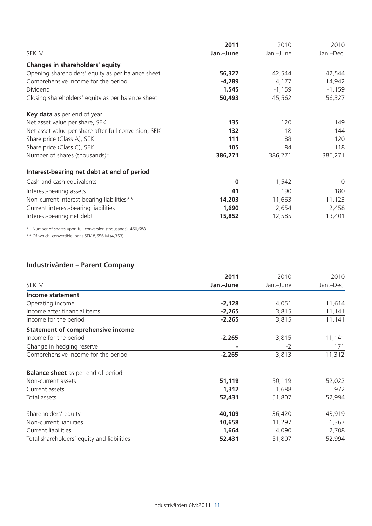|                                                      | 2011      | 2010      | 2010        |
|------------------------------------------------------|-----------|-----------|-------------|
| SEK M                                                | Jan.-June | Jan.-June | Jan.-Dec.   |
| Changes in shareholders' equity                      |           |           |             |
| Opening shareholders' equity as per balance sheet    | 56,327    | 42,544    | 42,544      |
| Comprehensive income for the period                  | $-4,289$  | 4,177     | 14,942      |
| Dividend                                             | 1,545     | $-1,159$  | $-1,159$    |
| Closing shareholders' equity as per balance sheet    | 50,493    | 45,562    | 56,327      |
| Key data as per end of year                          |           |           |             |
| Net asset value per share, SEK                       | 135       | 120       | 149         |
| Net asset value per share after full conversion, SEK | 132       | 118       | 144         |
| Share price (Class A), SEK                           | 111       | 88        | 120         |
| Share price (Class C), SEK                           | 105       | 84        | 118         |
| Number of shares (thousands)*                        | 386,271   | 386,271   | 386,271     |
| Interest-bearing net debt at end of period           |           |           |             |
| Cash and cash equivalents                            | $\bf{0}$  | 1,542     | $\mathbf 0$ |
| Interest-bearing assets                              | 41        | 190       | 180         |
| Non-current interest-bearing liabilities**           | 14,203    | 11,663    | 11,123      |
| Current interest-bearing liabilities                 | 1,690     | 2,654     | 2,458       |
| Interest-bearing net debt                            | 15,852    | 12,585    | 13,401      |

\* Number of shares upon full conversion (thousands), 460,688.

\*\* Of which, convertible loans SEK 8,656 M (4,353).

### **Industrivärden – Parent Company**

|                                            | 2011      | 2010      | 2010      |
|--------------------------------------------|-----------|-----------|-----------|
| SEK M                                      | Jan.-June | Jan.-June | Jan.-Dec. |
| Income statement                           |           |           |           |
| Operating income                           | $-2,128$  | 4,051     | 11,614    |
| Income after financial items               | $-2,265$  | 3,815     | 11,141    |
| Income for the period                      | $-2,265$  | 3,815     | 11,141    |
| <b>Statement of comprehensive income</b>   |           |           |           |
| Income for the period                      | $-2,265$  | 3,815     | 11,141    |
| Change in hedging reserve                  |           | $-2$      | 171       |
| Comprehensive income for the period        | $-2,265$  | 3,813     | 11,312    |
| <b>Balance sheet</b> as per end of period  |           |           |           |
| Non-current assets                         | 51,119    | 50,119    | 52,022    |
| Current assets                             | 1,312     | 1,688     | 972       |
| Total assets                               | 52,431    | 51,807    | 52,994    |
| Shareholders' equity                       | 40,109    | 36,420    | 43,919    |
| Non-current liabilities                    | 10,658    | 11,297    | 6,367     |
| Current liabilities                        | 1,664     | 4,090     | 2,708     |
| Total shareholders' equity and liabilities | 52,431    | 51,807    | 52,994    |